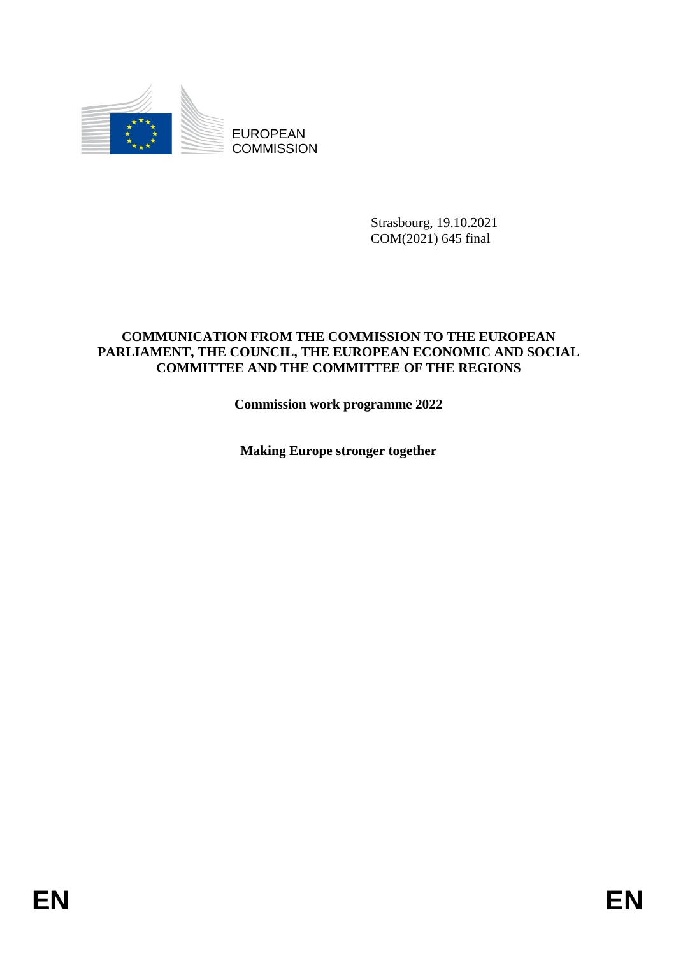

EUROPEAN **COMMISSION** 

> Strasbourg, 19.10.2021 COM(2021) 645 final

# **COMMUNICATION FROM THE COMMISSION TO THE EUROPEAN PARLIAMENT, THE COUNCIL, THE EUROPEAN ECONOMIC AND SOCIAL COMMITTEE AND THE COMMITTEE OF THE REGIONS**

**Commission work programme 2022** 

**Making Europe stronger together**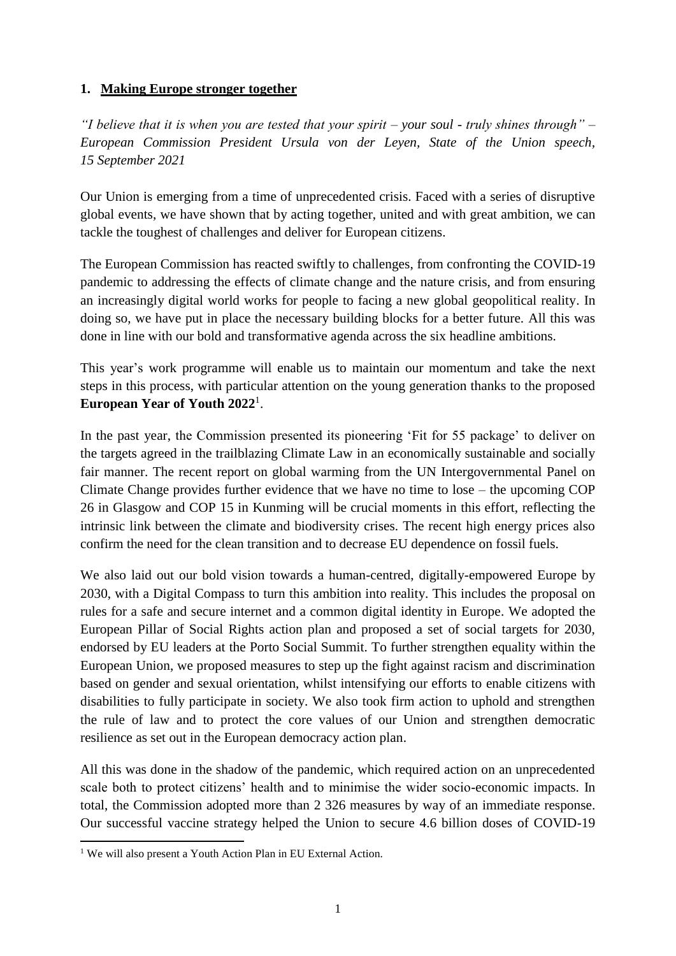# **1. Making Europe stronger together**

*"I believe that it is when you are tested that your spirit – your soul - truly shines through" – European Commission President Ursula von der Leyen, State of the Union speech, 15 September 2021*

Our Union is emerging from a time of unprecedented crisis. Faced with a series of disruptive global events, we have shown that by acting together, united and with great ambition, we can tackle the toughest of challenges and deliver for European citizens.

The European Commission has reacted swiftly to challenges, from confronting the COVID-19 pandemic to addressing the effects of climate change and the nature crisis, and from ensuring an increasingly digital world works for people to facing a new global geopolitical reality. In doing so, we have put in place the necessary building blocks for a better future. All this was done in line with our bold and transformative agenda across the six headline ambitions.

This year's work programme will enable us to maintain our momentum and take the next steps in this process, with particular attention on the young generation thanks to the proposed **European Year of Youth 2022**<sup>1</sup> .

In the past year, the Commission presented its pioneering 'Fit for 55 package' to deliver on the targets agreed in the trailblazing Climate Law in an economically sustainable and socially fair manner. The recent report on global warming from the UN Intergovernmental Panel on Climate Change provides further evidence that we have no time to lose – the upcoming COP 26 in Glasgow and COP 15 in Kunming will be crucial moments in this effort, reflecting the intrinsic link between the climate and biodiversity crises. The recent high energy prices also confirm the need for the clean transition and to decrease EU dependence on fossil fuels.

We also laid out our bold vision towards a human-centred, digitally-empowered Europe by 2030, with a Digital Compass to turn this ambition into reality. This includes the proposal on rules for a safe and secure internet and a common digital identity in Europe. We adopted the European Pillar of Social Rights action plan and proposed a set of social targets for 2030, endorsed by EU leaders at the Porto Social Summit. To further strengthen equality within the European Union, we proposed measures to step up the fight against racism and discrimination based on gender and sexual orientation, whilst intensifying our efforts to enable citizens with disabilities to fully participate in society. We also took firm action to uphold and strengthen the rule of law and to protect the core values of our Union and strengthen democratic resilience as set out in the European democracy action plan.

All this was done in the shadow of the pandemic, which required action on an unprecedented scale both to protect citizens' health and to minimise the wider socio-economic impacts. In total, the Commission adopted more than 2 326 measures by way of an immediate response. Our successful vaccine strategy helped the Union to secure 4.6 billion doses of COVID-19

1

<sup>&</sup>lt;sup>1</sup> We will also present a Youth Action Plan in EU External Action.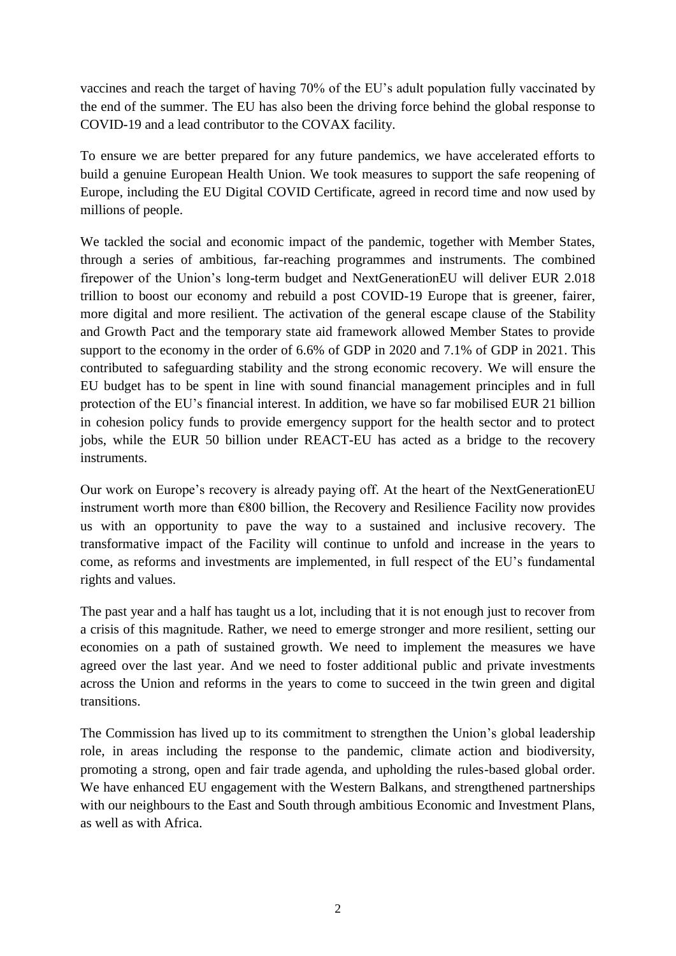vaccines and reach the target of having 70% of the EU's adult population fully vaccinated by the end of the summer. The EU has also been the driving force behind the global response to COVID-19 and a lead contributor to the COVAX facility.

To ensure we are better prepared for any future pandemics, we have accelerated efforts to build a genuine European Health Union. We took measures to support the safe reopening of Europe, including the EU Digital COVID Certificate, agreed in record time and now used by millions of people.

We tackled the social and economic impact of the pandemic, together with Member States, through a series of ambitious, far-reaching programmes and instruments. The combined firepower of the Union's long-term budget and NextGenerationEU will deliver EUR 2.018 trillion to boost our economy and rebuild a post COVID-19 Europe that is greener, fairer, more digital and more resilient. The activation of the general escape clause of the Stability and Growth Pact and the temporary state aid framework allowed Member States to provide support to the economy in the order of 6.6% of GDP in 2020 and 7.1% of GDP in 2021. This contributed to safeguarding stability and the strong economic recovery. We will ensure the EU budget has to be spent in line with sound financial management principles and in full protection of the EU's financial interest. In addition, we have so far mobilised EUR 21 billion in cohesion policy funds to provide emergency support for the health sector and to protect jobs, while the EUR 50 billion under REACT-EU has acted as a bridge to the recovery instruments.

Our work on Europe's recovery is already paying off. At the heart of the NextGenerationEU instrument worth more than €800 billion, the Recovery and Resilience Facility now provides us with an opportunity to pave the way to a sustained and inclusive recovery. The transformative impact of the Facility will continue to unfold and increase in the years to come, as reforms and investments are implemented, in full respect of the EU's fundamental rights and values.

The past year and a half has taught us a lot, including that it is not enough just to recover from a crisis of this magnitude. Rather, we need to emerge stronger and more resilient, setting our economies on a path of sustained growth. We need to implement the measures we have agreed over the last year. And we need to foster additional public and private investments across the Union and reforms in the years to come to succeed in the twin green and digital transitions.

The Commission has lived up to its commitment to strengthen the Union's global leadership role, in areas including the response to the pandemic, climate action and biodiversity, promoting a strong, open and fair trade agenda, and upholding the rules-based global order. We have enhanced EU engagement with the Western Balkans, and strengthened partnerships with our neighbours to the East and South through ambitious Economic and Investment Plans, as well as with Africa.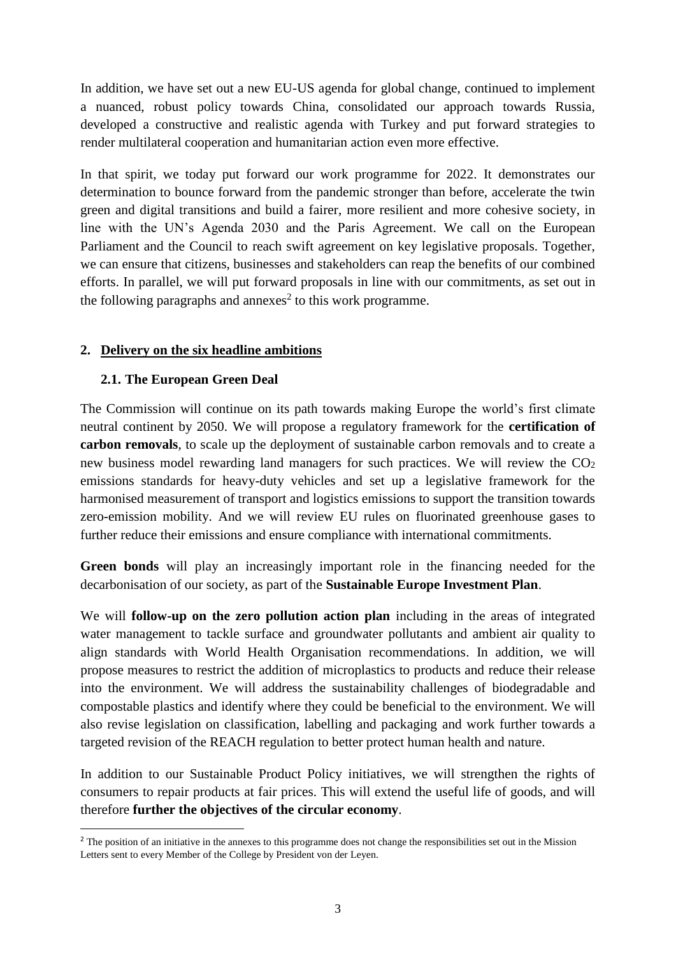In addition, we have set out a new EU-US agenda for global change, continued to implement a nuanced, robust policy towards China, consolidated our approach towards Russia, developed a constructive and realistic agenda with Turkey and put forward strategies to render multilateral cooperation and humanitarian action even more effective.

In that spirit, we today put forward our work programme for 2022. It demonstrates our determination to bounce forward from the pandemic stronger than before, accelerate the twin green and digital transitions and build a fairer, more resilient and more cohesive society, in line with the UN's Agenda 2030 and the Paris Agreement. We call on the European Parliament and the Council to reach swift agreement on key legislative proposals. Together, we can ensure that citizens, businesses and stakeholders can reap the benefits of our combined efforts. In parallel, we will put forward proposals in line with our commitments, as set out in the following paragraphs and annexes<sup>2</sup> to this work programme.

# **2. Delivery on the six headline ambitions**

# **2.1. The European Green Deal**

**.** 

The Commission will continue on its path towards making Europe the world's first climate neutral continent by 2050. We will propose a regulatory framework for the **certification of carbon removals**, to scale up the deployment of sustainable carbon removals and to create a new business model rewarding land managers for such practices. We will review the  $CO<sub>2</sub>$ emissions standards for heavy-duty vehicles and set up a legislative framework for the harmonised measurement of transport and logistics emissions to support the transition towards zero-emission mobility. And we will review EU rules on fluorinated greenhouse gases to further reduce their emissions and ensure compliance with international commitments.

**Green bonds** will play an increasingly important role in the financing needed for the decarbonisation of our society, as part of the **Sustainable Europe Investment Plan**.

We will **follow-up on the zero pollution action plan** including in the areas of integrated water management to tackle surface and groundwater pollutants and ambient air quality to align standards with World Health Organisation recommendations. In addition, we will propose measures to restrict the addition of microplastics to products and reduce their release into the environment. We will address the sustainability challenges of biodegradable and compostable plastics and identify where they could be beneficial to the environment. We will also revise legislation on classification, labelling and packaging and work further towards a targeted revision of the REACH regulation to better protect human health and nature.

In addition to our Sustainable Product Policy initiatives, we will strengthen the rights of consumers to repair products at fair prices. This will extend the useful life of goods, and will therefore **further the objectives of the circular economy**.

<sup>&</sup>lt;sup>2</sup> The position of an initiative in the annexes to this programme does not change the responsibilities set out in the Mission Letters sent to every Member of the College by President von der Leyen.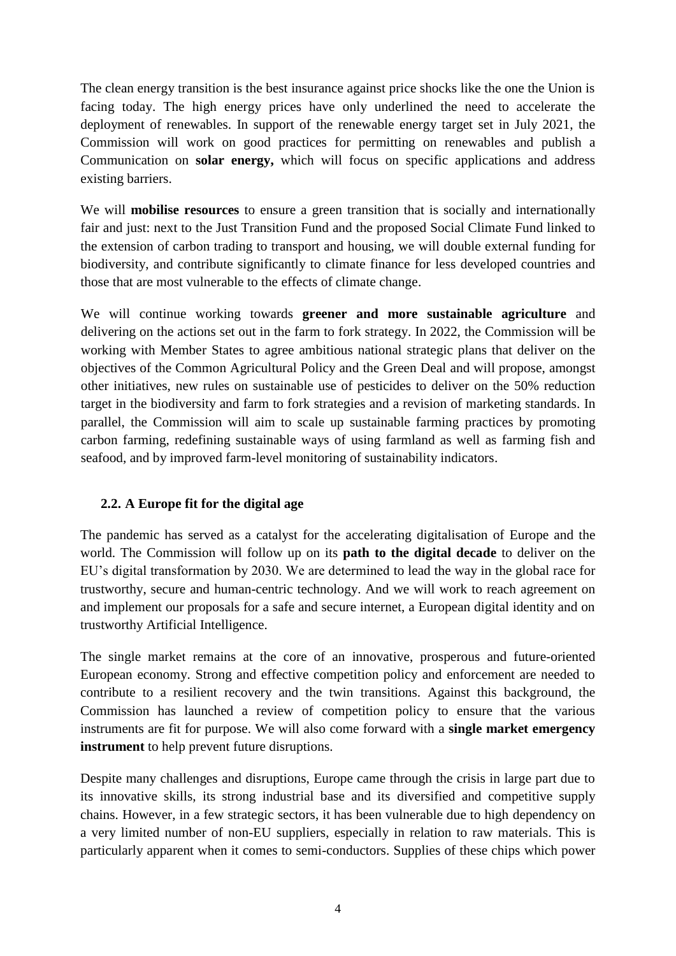The clean energy transition is the best insurance against price shocks like the one the Union is facing today. The high energy prices have only underlined the need to accelerate the deployment of renewables. In support of the renewable energy target set in July 2021, the Commission will work on good practices for permitting on renewables and publish a Communication on **solar energy,** which will focus on specific applications and address existing barriers.

We will **mobilise resources** to ensure a green transition that is socially and internationally fair and just: next to the Just Transition Fund and the proposed Social Climate Fund linked to the extension of carbon trading to transport and housing, we will double external funding for biodiversity, and contribute significantly to climate finance for less developed countries and those that are most vulnerable to the effects of climate change.

We will continue working towards **greener and more sustainable agriculture** and delivering on the actions set out in the farm to fork strategy. In 2022, the Commission will be working with Member States to agree ambitious national strategic plans that deliver on the objectives of the Common Agricultural Policy and the Green Deal and will propose, amongst other initiatives, new rules on sustainable use of pesticides to deliver on the 50% reduction target in the biodiversity and farm to fork strategies and a revision of marketing standards. In parallel, the Commission will aim to scale up sustainable farming practices by promoting carbon farming, redefining sustainable ways of using farmland as well as farming fish and seafood, and by improved farm-level monitoring of sustainability indicators.

# **2.2. A Europe fit for the digital age**

The pandemic has served as a catalyst for the accelerating digitalisation of Europe and the world. The Commission will follow up on its **path to the digital decade** to deliver on the EU's digital transformation by 2030. We are determined to lead the way in the global race for trustworthy, secure and human-centric technology. And we will work to reach agreement on and implement our proposals for a safe and secure internet, a European digital identity and on trustworthy Artificial Intelligence.

The single market remains at the core of an innovative, prosperous and future-oriented European economy. Strong and effective competition policy and enforcement are needed to contribute to a resilient recovery and the twin transitions. Against this background, the Commission has launched a review of competition policy to ensure that the various instruments are fit for purpose. We will also come forward with a **single market emergency instrument** to help prevent future disruptions.

Despite many challenges and disruptions, Europe came through the crisis in large part due to its innovative skills, its strong industrial base and its diversified and competitive supply chains. However, in a few strategic sectors, it has been vulnerable due to high dependency on a very limited number of non-EU suppliers, especially in relation to raw materials. This is particularly apparent when it comes to semi-conductors. Supplies of these chips which power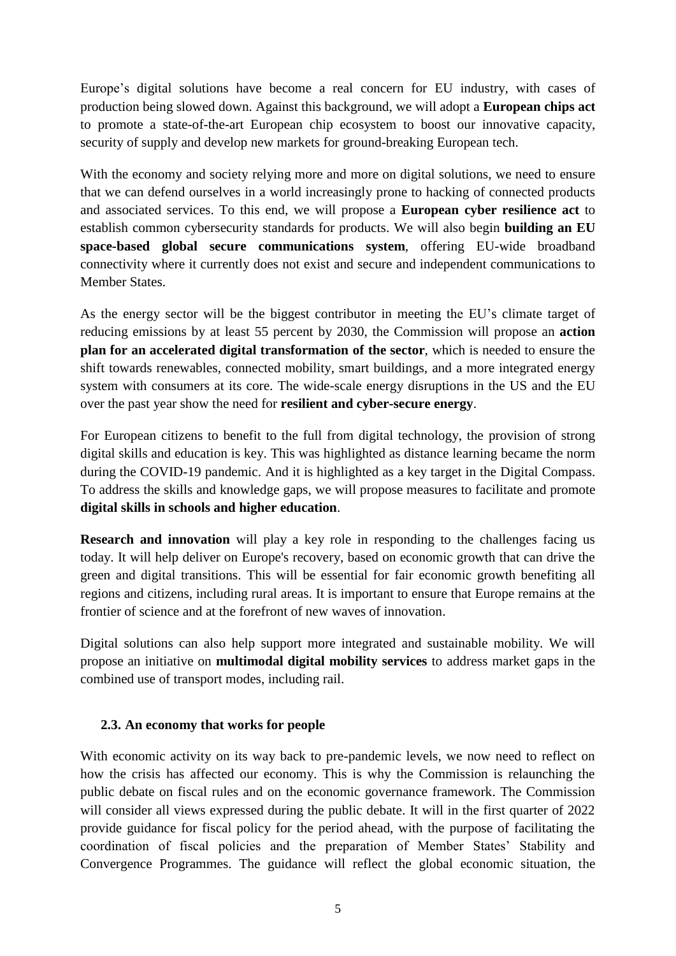Europe's digital solutions have become a real concern for EU industry, with cases of production being slowed down. Against this background, we will adopt a **European chips act**  to promote a state-of-the-art European chip ecosystem to boost our innovative capacity, security of supply and develop new markets for ground-breaking European tech.

With the economy and society relying more and more on digital solutions, we need to ensure that we can defend ourselves in a world increasingly prone to hacking of connected products and associated services. To this end, we will propose a **European cyber resilience act** to establish common cybersecurity standards for products. We will also begin **building an EU space-based global secure communications system**, offering EU-wide broadband connectivity where it currently does not exist and secure and independent communications to Member States.

As the energy sector will be the biggest contributor in meeting the EU's climate target of reducing emissions by at least 55 percent by 2030, the Commission will propose an **action plan for an accelerated digital transformation of the sector**, which is needed to ensure the shift towards renewables, connected mobility, smart buildings, and a more integrated energy system with consumers at its core. The wide-scale energy disruptions in the US and the EU over the past year show the need for **resilient and cyber-secure energy**.

For European citizens to benefit to the full from digital technology, the provision of strong digital skills and education is key. This was highlighted as distance learning became the norm during the COVID-19 pandemic. And it is highlighted as a key target in the Digital Compass. To address the skills and knowledge gaps, we will propose measures to facilitate and promote **digital skills in schools and higher education**.

**Research and innovation** will play a key role in responding to the challenges facing us today. It will help deliver on Europe's recovery, based on economic growth that can drive the green and digital transitions. This will be essential for fair economic growth benefiting all regions and citizens, including rural areas. It is important to ensure that Europe remains at the frontier of science and at the forefront of new waves of innovation.

Digital solutions can also help support more integrated and sustainable mobility. We will propose an initiative on **multimodal digital mobility services** to address market gaps in the combined use of transport modes, including rail.

# **2.3. An economy that works for people**

With economic activity on its way back to pre-pandemic levels, we now need to reflect on how the crisis has affected our economy. This is why the Commission is relaunching the public debate on fiscal rules and on the economic governance framework. The Commission will consider all views expressed during the public debate. It will in the first quarter of 2022 provide guidance for fiscal policy for the period ahead, with the purpose of facilitating the coordination of fiscal policies and the preparation of Member States' Stability and Convergence Programmes. The guidance will reflect the global economic situation, the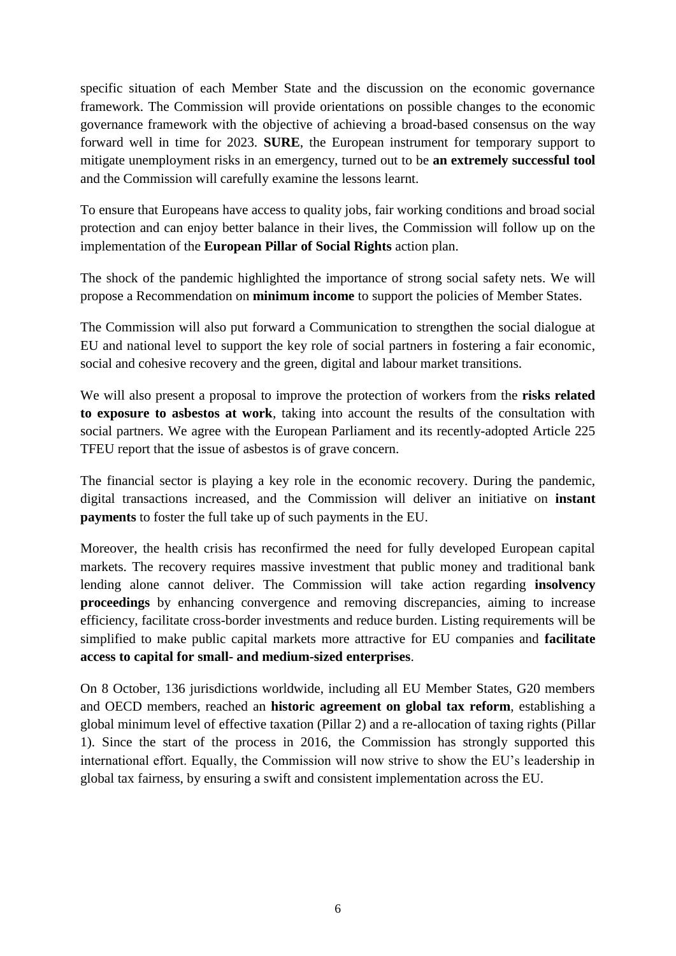specific situation of each Member State and the discussion on the economic governance framework. The Commission will provide orientations on possible changes to the economic governance framework with the objective of achieving a broad-based consensus on the way forward well in time for 2023. **SURE**, the European instrument for temporary support to mitigate unemployment risks in an emergency, turned out to be **an extremely successful tool** and the Commission will carefully examine the lessons learnt.

To ensure that Europeans have access to quality jobs, fair working conditions and broad social protection and can enjoy better balance in their lives, the Commission will follow up on the implementation of the **European Pillar of Social Rights** action plan.

The shock of the pandemic highlighted the importance of strong social safety nets. We will propose a Recommendation on **minimum income** to support the policies of Member States.

The Commission will also put forward a Communication to strengthen the social dialogue at EU and national level to support the key role of social partners in fostering a fair economic, social and cohesive recovery and the green, digital and labour market transitions.

We will also present a proposal to improve the protection of workers from the **risks related to exposure to asbestos at work**, taking into account the results of the consultation with social partners. We agree with the European Parliament and its recently-adopted Article 225 TFEU report that the issue of asbestos is of grave concern.

The financial sector is playing a key role in the economic recovery. During the pandemic, digital transactions increased, and the Commission will deliver an initiative on **instant payments** to foster the full take up of such payments in the EU.

Moreover, the health crisis has reconfirmed the need for fully developed European capital markets. The recovery requires massive investment that public money and traditional bank lending alone cannot deliver. The Commission will take action regarding **insolvency proceedings** by enhancing convergence and removing discrepancies, aiming to increase efficiency, facilitate cross-border investments and reduce burden. Listing requirements will be simplified to make public capital markets more attractive for EU companies and **facilitate access to capital for small- and medium-sized enterprises**.

On 8 October, 136 jurisdictions worldwide, including all EU Member States, G20 members and OECD members, reached an **historic agreement on global tax reform**, establishing a global minimum level of effective taxation (Pillar 2) and a re-allocation of taxing rights (Pillar 1). Since the start of the process in 2016, the Commission has strongly supported this international effort. Equally, the Commission will now strive to show the EU's leadership in global tax fairness, by ensuring a swift and consistent implementation across the EU.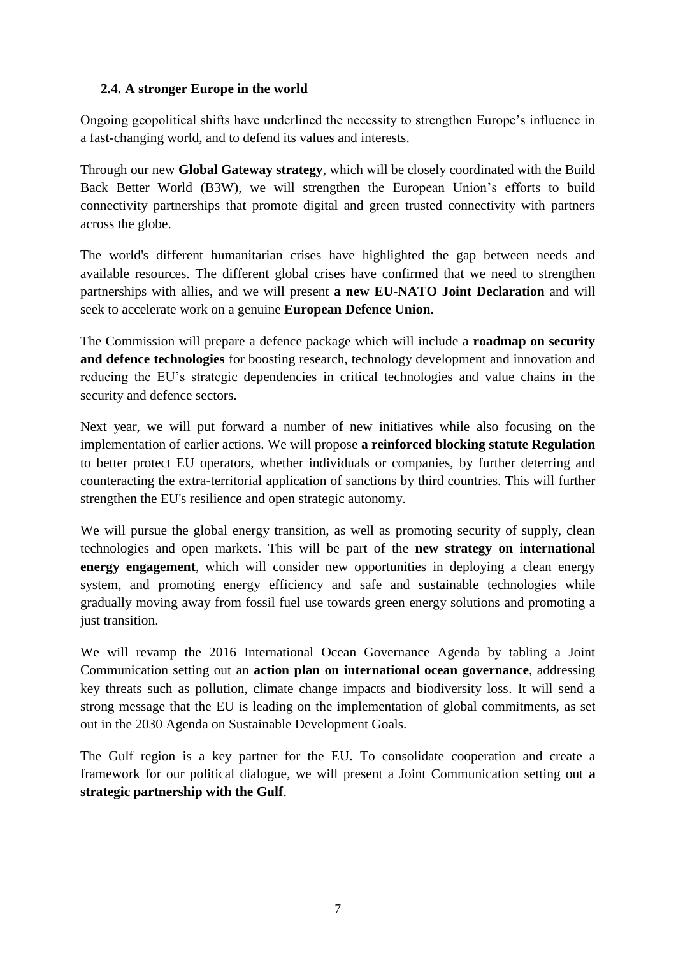# **2.4. A stronger Europe in the world**

Ongoing geopolitical shifts have underlined the necessity to strengthen Europe's influence in a fast-changing world, and to defend its values and interests.

Through our new **Global Gateway strategy**, which will be closely coordinated with the Build Back Better World (B3W), we will strengthen the European Union's efforts to build connectivity partnerships that promote digital and green trusted connectivity with partners across the globe.

The world's different humanitarian crises have highlighted the gap between needs and available resources. The different global crises have confirmed that we need to strengthen partnerships with allies, and we will present **a new EU-NATO Joint Declaration** and will seek to accelerate work on a genuine **European Defence Union**.

The Commission will prepare a defence package which will include a **roadmap on security and defence technologies** for boosting research, technology development and innovation and reducing the EU's strategic dependencies in critical technologies and value chains in the security and defence sectors.

Next year, we will put forward a number of new initiatives while also focusing on the implementation of earlier actions. We will propose **a reinforced blocking statute Regulation** to better protect EU operators, whether individuals or companies, by further deterring and counteracting the extra-territorial application of sanctions by third countries. This will further strengthen the EU's resilience and open strategic autonomy.

We will pursue the global energy transition, as well as promoting security of supply, clean technologies and open markets. This will be part of the **new strategy on international energy engagement**, which will consider new opportunities in deploying a clean energy system, and promoting energy efficiency and safe and sustainable technologies while gradually moving away from fossil fuel use towards green energy solutions and promoting a just transition.

We will revamp the 2016 International Ocean Governance Agenda by tabling a Joint Communication setting out an **action plan on international ocean governance**, addressing key threats such as pollution, climate change impacts and biodiversity loss. It will send a strong message that the EU is leading on the implementation of global commitments, as set out in the 2030 Agenda on Sustainable Development Goals.

The Gulf region is a key partner for the EU. To consolidate cooperation and create a framework for our political dialogue, we will present a Joint Communication setting out **a strategic partnership with the Gulf**.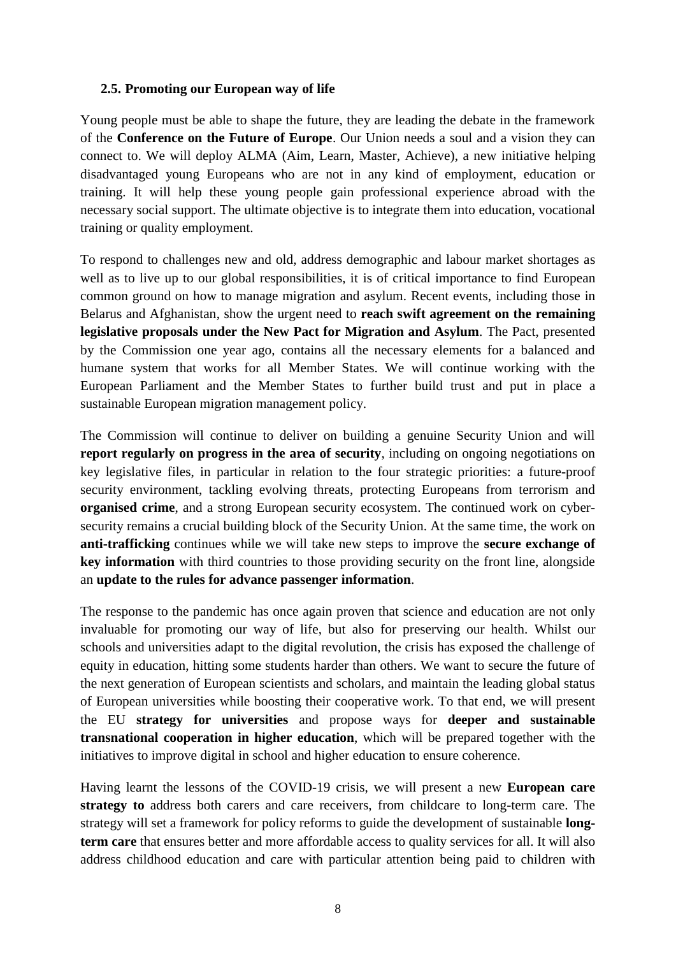#### **2.5. Promoting our European way of life**

Young people must be able to shape the future, they are leading the debate in the framework of the **Conference on the Future of Europe**. Our Union needs a soul and a vision they can connect to. We will deploy ALMA (Aim, Learn, Master, Achieve), a new initiative helping disadvantaged young Europeans who are not in any kind of employment, education or training. It will help these young people gain professional experience abroad with the necessary social support. The ultimate objective is to integrate them into education, vocational training or quality employment.

To respond to challenges new and old, address demographic and labour market shortages as well as to live up to our global responsibilities, it is of critical importance to find European common ground on how to manage migration and asylum. Recent events, including those in Belarus and Afghanistan, show the urgent need to **reach swift agreement on the remaining legislative proposals under the New Pact for Migration and Asylum**. The Pact, presented by the Commission one year ago, contains all the necessary elements for a balanced and humane system that works for all Member States. We will continue working with the European Parliament and the Member States to further build trust and put in place a sustainable European migration management policy.

The Commission will continue to deliver on building a genuine Security Union and will **report regularly on progress in the area of security**, including on ongoing negotiations on key legislative files, in particular in relation to the four strategic priorities: a future-proof security environment, tackling evolving threats, protecting Europeans from terrorism and **organised crime**, and a strong European security ecosystem. The continued work on cybersecurity remains a crucial building block of the Security Union. At the same time, the work on **anti-trafficking** continues while we will take new steps to improve the **secure exchange of key information** with third countries to those providing security on the front line, alongside an **update to the rules for advance passenger information**.

The response to the pandemic has once again proven that science and education are not only invaluable for promoting our way of life, but also for preserving our health. Whilst our schools and universities adapt to the digital revolution, the crisis has exposed the challenge of equity in education, hitting some students harder than others. We want to secure the future of the next generation of European scientists and scholars, and maintain the leading global status of European universities while boosting their cooperative work. To that end, we will present the EU **strategy for universities** and propose ways for **deeper and sustainable transnational cooperation in higher education**, which will be prepared together with the initiatives to improve digital in school and higher education to ensure coherence.

Having learnt the lessons of the COVID-19 crisis, we will present a new **European care strategy to** address both carers and care receivers, from childcare to long-term care. The strategy will set a framework for policy reforms to guide the development of sustainable **longterm care** that ensures better and more affordable access to quality services for all. It will also address childhood education and care with particular attention being paid to children with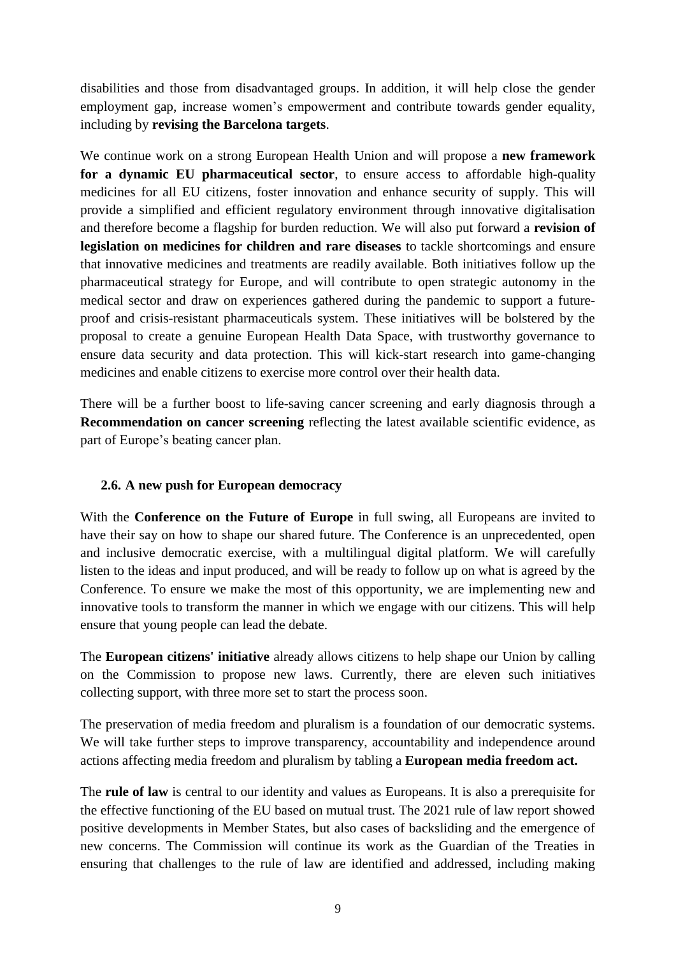disabilities and those from disadvantaged groups. In addition, it will help close the gender employment gap, increase women's empowerment and contribute towards gender equality, including by **revising the Barcelona targets**.

We continue work on a strong European Health Union and will propose a **new framework for a dynamic EU pharmaceutical sector**, to ensure access to affordable high-quality medicines for all EU citizens, foster innovation and enhance security of supply. This will provide a simplified and efficient regulatory environment through innovative digitalisation and therefore become a flagship for burden reduction. We will also put forward a **revision of legislation on medicines for children and rare diseases** to tackle shortcomings and ensure that innovative medicines and treatments are readily available. Both initiatives follow up the pharmaceutical strategy for Europe, and will contribute to open strategic autonomy in the medical sector and draw on experiences gathered during the pandemic to support a futureproof and crisis-resistant pharmaceuticals system. These initiatives will be bolstered by the proposal to create a genuine European Health Data Space, with trustworthy governance to ensure data security and data protection. This will kick-start research into game-changing medicines and enable citizens to exercise more control over their health data.

There will be a further boost to life-saving cancer screening and early diagnosis through a **Recommendation on cancer screening** reflecting the latest available scientific evidence, as part of Europe's beating cancer plan.

# **2.6. A new push for European democracy**

With the **Conference on the Future of Europe** in full swing, all Europeans are invited to have their say on how to shape our shared future. The Conference is an unprecedented, open and inclusive democratic exercise, with a multilingual digital platform. We will carefully listen to the ideas and input produced, and will be ready to follow up on what is agreed by the Conference. To ensure we make the most of this opportunity, we are implementing new and innovative tools to transform the manner in which we engage with our citizens. This will help ensure that young people can lead the debate.

The **European citizens' initiative** already allows citizens to help shape our Union by calling on the Commission to propose new laws. Currently, there are eleven such initiatives collecting support, with three more set to start the process soon.

The preservation of media freedom and pluralism is a foundation of our democratic systems. We will take further steps to improve transparency, accountability and independence around actions affecting media freedom and pluralism by tabling a **European media freedom act.**

The **rule of law** is central to our identity and values as Europeans. It is also a prerequisite for the effective functioning of the EU based on mutual trust. The 2021 rule of law report showed positive developments in Member States, but also cases of backsliding and the emergence of new concerns. The Commission will continue its work as the Guardian of the Treaties in ensuring that challenges to the rule of law are identified and addressed, including making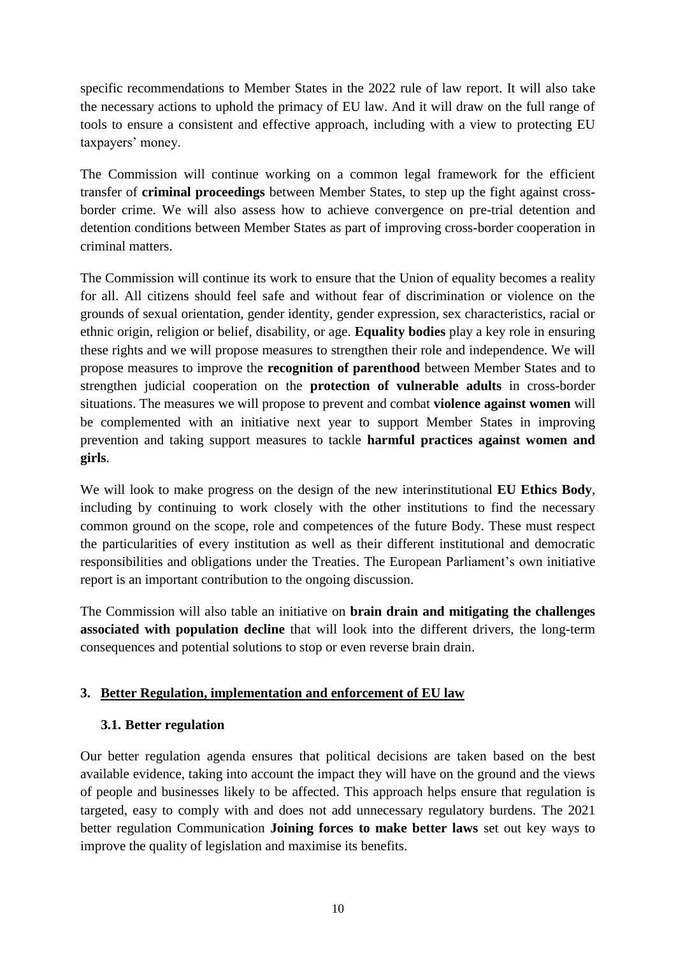specific recommendations to Member States in the 2022 rule of law report. It will also take the necessary actions to uphold the primacy of EU law. And it will draw on the full range of tools to ensure a consistent and effective approach, including with a view to protecting EU taxpayers' money.

The Commission will continue working on a common legal framework for the efficient transfer of **criminal proceedings** between Member States, to step up the fight against crossborder crime. We will also assess how to achieve convergence on pre-trial detention and detention conditions between Member States as part of improving cross-border cooperation in criminal matters.

The Commission will continue its work to ensure that the Union of equality becomes a reality for all. All citizens should feel safe and without fear of discrimination or violence on the grounds of sexual orientation, gender identity, gender expression, sex characteristics, racial or ethnic origin, religion or belief, disability, or age. **Equality bodies** play a key role in ensuring these rights and we will propose measures to strengthen their role and independence. We will propose measures to improve the **recognition of parenthood** between Member States and to strengthen judicial cooperation on the **protection of vulnerable adults** in cross-border situations. The measures we will propose to prevent and combat **violence against women** will be complemented with an initiative next year to support Member States in improving prevention and taking support measures to tackle **harmful practices against women and girls**.

We will look to make progress on the design of the new interinstitutional **EU Ethics Body**, including by continuing to work closely with the other institutions to find the necessary common ground on the scope, role and competences of the future Body. These must respect the particularities of every institution as well as their different institutional and democratic responsibilities and obligations under the Treaties. The European Parliament's own initiative report is an important contribution to the ongoing discussion.

The Commission will also table an initiative on **brain drain and mitigating the challenges associated with population decline** that will look into the different drivers, the long-term consequences and potential solutions to stop or even reverse brain drain.

# **3. Better Regulation, implementation and enforcement of EU law**

# **3.1. Better regulation**

Our better regulation agenda ensures that political decisions are taken based on the best available evidence, taking into account the impact they will have on the ground and the views of people and businesses likely to be affected. This approach helps ensure that regulation is targeted, easy to comply with and does not add unnecessary regulatory burdens. The 2021 better regulation Communication **Joining forces to make better laws** set out key ways to improve the quality of legislation and maximise its benefits.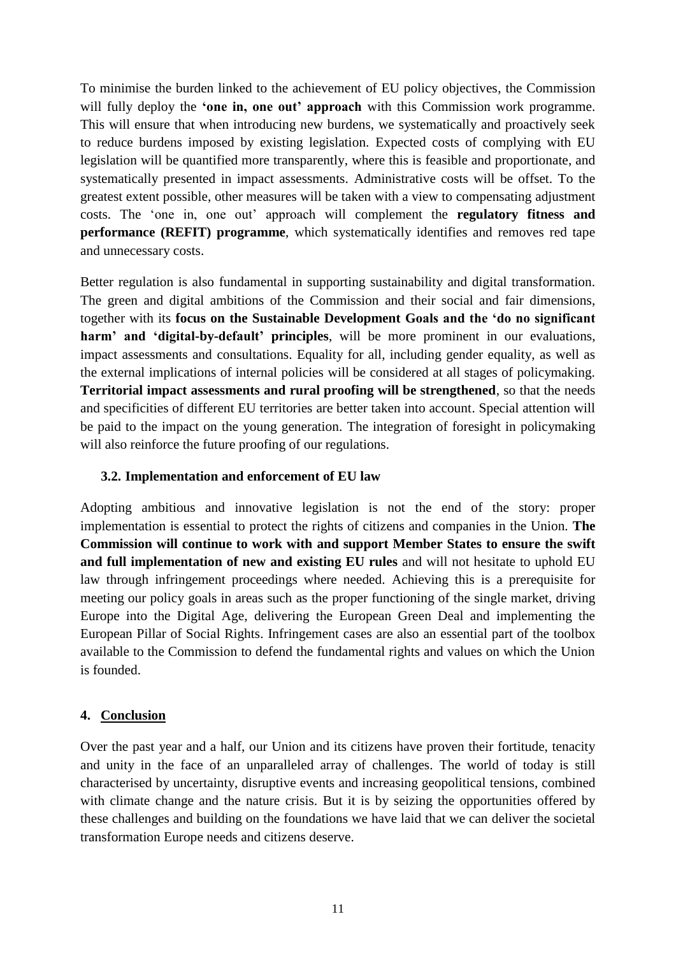To minimise the burden linked to the achievement of EU policy objectives, the Commission will fully deploy the **'one in, one out' approach** with this Commission work programme. This will ensure that when introducing new burdens, we systematically and proactively seek to reduce burdens imposed by existing legislation. Expected costs of complying with EU legislation will be quantified more transparently, where this is feasible and proportionate, and systematically presented in impact assessments. Administrative costs will be offset. To the greatest extent possible, other measures will be taken with a view to compensating adjustment costs. The 'one in, one out' approach will complement the **regulatory fitness and performance (REFIT) programme**, which systematically identifies and removes red tape and unnecessary costs.

Better regulation is also fundamental in supporting sustainability and digital transformation. The green and digital ambitions of the Commission and their social and fair dimensions, together with its **focus on the Sustainable Development Goals and the 'do no significant harm' and 'digital-by-default' principles**, will be more prominent in our evaluations, impact assessments and consultations. Equality for all, including gender equality, as well as the external implications of internal policies will be considered at all stages of policymaking. **Territorial impact assessments and rural proofing will be strengthened**, so that the needs and specificities of different EU territories are better taken into account. Special attention will be paid to the impact on the young generation. The integration of foresight in policymaking will also reinforce the future proofing of our regulations.

#### **3.2. Implementation and enforcement of EU law**

Adopting ambitious and innovative legislation is not the end of the story: proper implementation is essential to protect the rights of citizens and companies in the Union. **The Commission will continue to work with and support Member States to ensure the swift and full implementation of new and existing EU rules** and will not hesitate to uphold EU law through infringement proceedings where needed. Achieving this is a prerequisite for meeting our policy goals in areas such as the proper functioning of the single market, driving Europe into the Digital Age, delivering the European Green Deal and implementing the European Pillar of Social Rights. Infringement cases are also an essential part of the toolbox available to the Commission to defend the fundamental rights and values on which the Union is founded.

# **4. Conclusion**

Over the past year and a half, our Union and its citizens have proven their fortitude, tenacity and unity in the face of an unparalleled array of challenges. The world of today is still characterised by uncertainty, disruptive events and increasing geopolitical tensions, combined with climate change and the nature crisis. But it is by seizing the opportunities offered by these challenges and building on the foundations we have laid that we can deliver the societal transformation Europe needs and citizens deserve.